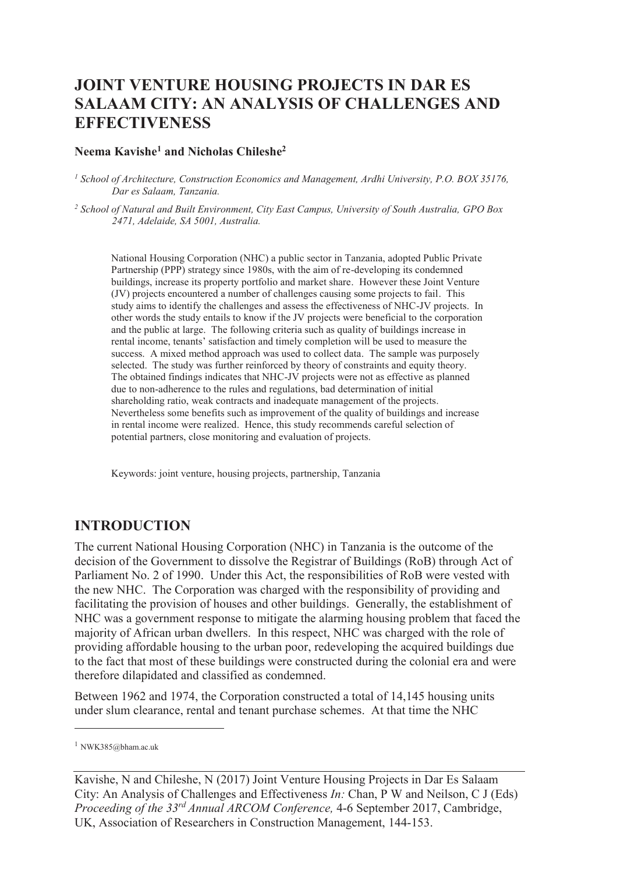# **JOINT VENTURE HOUSING PROJECTS IN DAR ES SALAAM CITY: AN ANALYSIS OF CHALLENGES AND EFFECTIVENESS**

#### **Neema Kavishe<sup>1</sup> and Nicholas Chileshe<sup>2</sup>**

<sup>1</sup> School of Architecture, Construction Economics and Management, Ardhi University, P.O. BOX 35176, *Dar es Salaam, Tanzania.* 

*2 School of Natural and Built Environment, City East Campus, University of South Australia, GPO Box 2471, Adelaide, SA 5001, Australia.* 

National Housing Corporation (NHC) a public sector in Tanzania, adopted Public Private Partnership (PPP) strategy since 1980s, with the aim of re-developing its condemned buildings, increase its property portfolio and market share. However these Joint Venture (JV) projects encountered a number of challenges causing some projects to fail. This study aims to identify the challenges and assess the effectiveness of NHC-JV projects. In other words the study entails to know if the JV projects were beneficial to the corporation and the public at large. The following criteria such as quality of buildings increase in rental income, tenants' satisfaction and timely completion will be used to measure the success. A mixed method approach was used to collect data. The sample was purposely selected. The study was further reinforced by theory of constraints and equity theory. The obtained findings indicates that NHC-JV projects were not as effective as planned due to non-adherence to the rules and regulations, bad determination of initial shareholding ratio, weak contracts and inadequate management of the projects. Nevertheless some benefits such as improvement of the quality of buildings and increase in rental income were realized. Hence, this study recommends careful selection of potential partners, close monitoring and evaluation of projects.

Keywords: joint venture, housing projects, partnership, Tanzania

## **INTRODUCTION**

The current National Housing Corporation (NHC) in Tanzania is the outcome of the decision of the Government to dissolve the Registrar of Buildings (RoB) through Act of Parliament No. 2 of 1990. Under this Act, the responsibilities of RoB were vested with the new NHC. The Corporation was charged with the responsibility of providing and facilitating the provision of houses and other buildings. Generally, the establishment of NHC was a government response to mitigate the alarming housing problem that faced the majority of African urban dwellers. In this respect, NHC was charged with the role of providing affordable housing to the urban poor, redeveloping the acquired buildings due to the fact that most of these buildings were constructed during the colonial era and were therefore dilapidated and classified as condemned.

Between 1962 and 1974, the Corporation constructed a total of 14,145 housing units under slum clearance, rental and tenant purchase schemes. At that time the NHC

-

 $1$  NWK385@bham.ac.uk

Kavishe, N and Chileshe, N (2017) Joint Venture Housing Projects in Dar Es Salaam City: An Analysis of Challenges and Effectiveness *In:* Chan, P W and Neilson, C J (Eds) *Proceeding of the 33rd Annual ARCOM Conference,* 4-6 September 2017, Cambridge, UK, Association of Researchers in Construction Management, 144-153.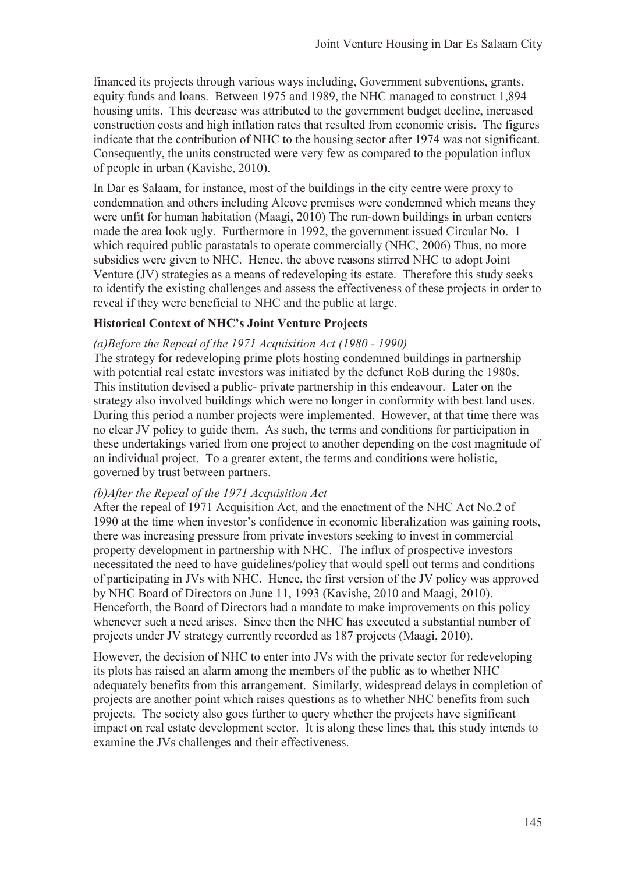financed its projects through various ways including, Government subventions, grants, equity funds and loans. Between 1975 and 1989, the NHC managed to construct 1,894 housing units. This decrease was attributed to the government budget decline, increased construction costs and high inflation rates that resulted from economic crisis. The figures indicate that the contribution of NHC to the housing sector after 1974 was not significant. Consequently, the units constructed were very few as compared to the population influx of people in urban (Kavishe, 2010).

In Dar es Salaam, for instance, most of the buildings in the city centre were proxy to condemnation and others including Alcove premises were condemned which means they were unfit for human habitation (Maagi, 2010) The run-down buildings in urban centers made the area look ugly. Furthermore in 1992, the government issued Circular No. 1 which required public parastatals to operate commercially (NHC, 2006) Thus, no more subsidies were given to NHC. Hence, the above reasons stirred NHC to adopt Joint Venture (JV) strategies as a means of redeveloping its estate. Therefore this study seeks to identify the existing challenges and assess the effectiveness of these projects in order to reveal if they were beneficial to NHC and the public at large.

## **Historical Context of NHC's Joint Venture Projects**

#### *(a)Before the Repeal of the 1971 Acquisition Act (1980 - 1990)*

The strategy for redeveloping prime plots hosting condemned buildings in partnership with potential real estate investors was initiated by the defunct RoB during the 1980s. This institution devised a public- private partnership in this endeavour. Later on the strategy also involved buildings which were no longer in conformity with best land uses. During this period a number projects were implemented. However, at that time there was no clear JV policy to guide them. As such, the terms and conditions for participation in these undertakings varied from one project to another depending on the cost magnitude of an individual project. To a greater extent, the terms and conditions were holistic, governed by trust between partners.

#### *(b)After the Repeal of the 1971 Acquisition Act*

After the repeal of 1971 Acquisition Act, and the enactment of the NHC Act No.2 of 1990 at the time when investor's confidence in economic liberalization was gaining roots, there was increasing pressure from private investors seeking to invest in commercial property development in partnership with NHC. The influx of prospective investors necessitated the need to have guidelines/policy that would spell out terms and conditions of participating in JVs with NHC. Hence, the first version of the JV policy was approved by NHC Board of Directors on June 11, 1993 (Kavishe, 2010 and Maagi, 2010). Henceforth, the Board of Directors had a mandate to make improvements on this policy whenever such a need arises. Since then the NHC has executed a substantial number of projects under JV strategy currently recorded as 187 projects (Maagi, 2010).

However, the decision of NHC to enter into JVs with the private sector for redeveloping its plots has raised an alarm among the members of the public as to whether NHC adequately benefits from this arrangement. Similarly, widespread delays in completion of projects are another point which raises questions as to whether NHC benefits from such projects. The society also goes further to query whether the projects have significant impact on real estate development sector. It is along these lines that, this study intends to examine the JVs challenges and their effectiveness.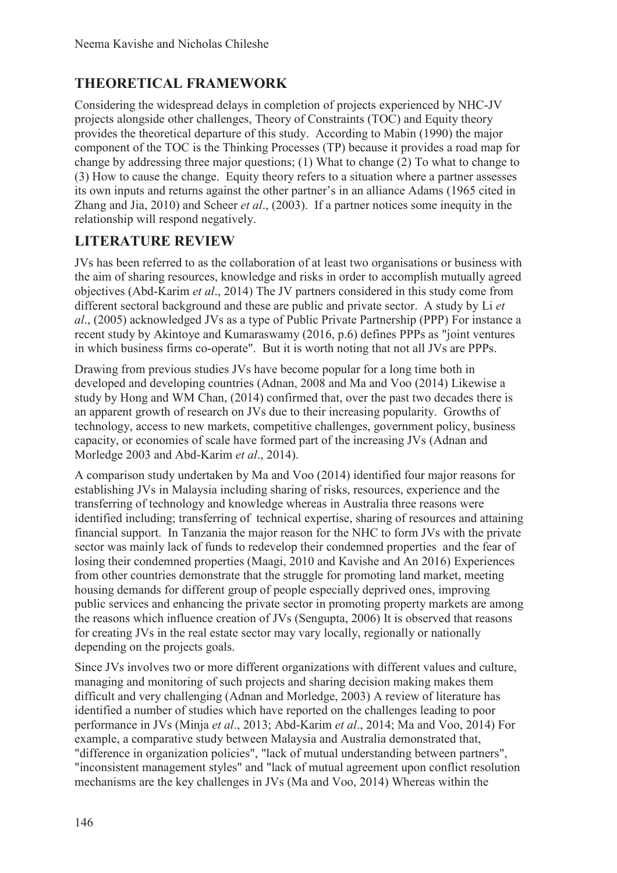# **THEORETICAL FRAMEWORK**

Considering the widespread delays in completion of projects experienced by NHC-JV projects alongside other challenges, Theory of Constraints (TOC) and Equity theory provides the theoretical departure of this study. According to Mabin (1990) the major component of the TOC is the Thinking Processes (TP) because it provides a road map for change by addressing three major questions; (1) What to change (2) To what to change to (3) How to cause the change. Equity theory refers to a situation where a partner assesses its own inputs and returns against the other partner's in an alliance Adams (1965 cited in Zhang and Jia, 2010) and Scheer *et al*., (2003). If a partner notices some inequity in the relationship will respond negatively.

## **LITERATURE REVIEW**

JVs has been referred to as the collaboration of at least two organisations or business with the aim of sharing resources, knowledge and risks in order to accomplish mutually agreed objectives (Abd-Karim *et al*., 2014) The JV partners considered in this study come from different sectoral background and these are public and private sector. A study by Li *et al*., (2005) acknowledged JVs as a type of Public Private Partnership (PPP) For instance a recent study by Akintoye and Kumaraswamy (2016, p.6) defines PPPs as "joint ventures in which business firms co-operate". But it is worth noting that not all JVs are PPPs.

Drawing from previous studies JVs have become popular for a long time both in developed and developing countries (Adnan, 2008 and Ma and Voo (2014) Likewise a study by Hong and WM Chan, (2014) confirmed that, over the past two decades there is an apparent growth of research on JVs due to their increasing popularity. Growths of technology, access to new markets, competitive challenges, government policy, business capacity, or economies of scale have formed part of the increasing JVs (Adnan and Morledge 2003 and Abd-Karim *et al*., 2014).

A comparison study undertaken by Ma and Voo (2014) identified four major reasons for establishing JVs in Malaysia including sharing of risks, resources, experience and the transferring of technology and knowledge whereas in Australia three reasons were identified including; transferring of technical expertise, sharing of resources and attaining financial support. In Tanzania the major reason for the NHC to form JVs with the private sector was mainly lack of funds to redevelop their condemned properties and the fear of losing their condemned properties (Maagi, 2010 and Kavishe and An 2016) Experiences from other countries demonstrate that the struggle for promoting land market, meeting housing demands for different group of people especially deprived ones, improving public services and enhancing the private sector in promoting property markets are among the reasons which influence creation of JVs (Sengupta, 2006) It is observed that reasons for creating JVs in the real estate sector may vary locally, regionally or nationally depending on the projects goals.

Since JVs involves two or more different organizations with different values and culture, managing and monitoring of such projects and sharing decision making makes them difficult and very challenging (Adnan and Morledge, 2003) A review of literature has identified a number of studies which have reported on the challenges leading to poor performance in JVs (Minja *et al*., 2013; Abd-Karim *et al*., 2014; Ma and Voo, 2014) For example, a comparative study between Malaysia and Australia demonstrated that, "difference in organization policies", "lack of mutual understanding between partners", "inconsistent management styles" and "lack of mutual agreement upon conflict resolution mechanisms are the key challenges in JVs (Ma and Voo, 2014) Whereas within the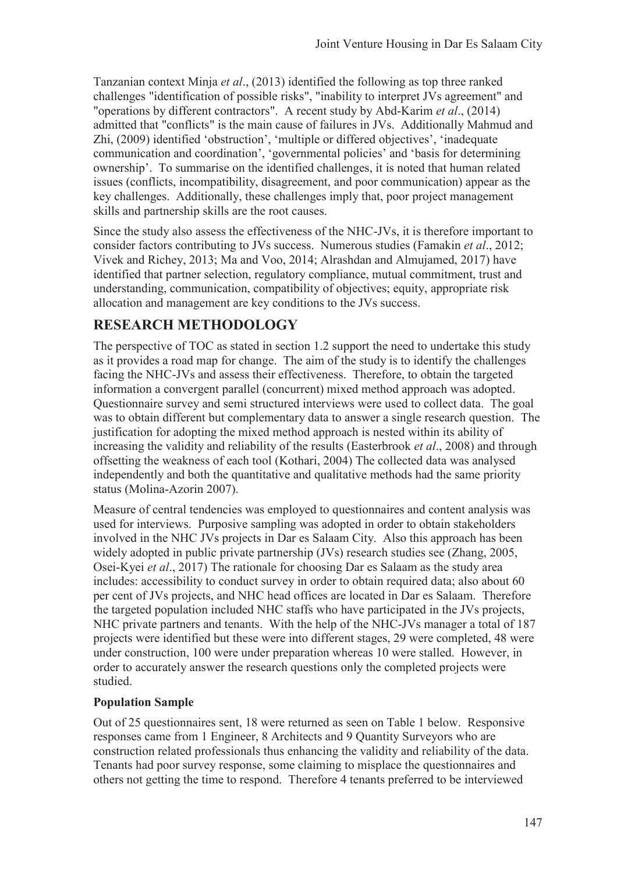Tanzanian context Minja *et al*., (2013) identified the following as top three ranked challenges "identification of possible risks", "inability to interpret JVs agreement" and "operations by different contractors". A recent study by Abd-Karim *et al*., (2014) admitted that "conflicts" is the main cause of failures in JVs. Additionally Mahmud and Zhi, (2009) identified 'obstruction', 'multiple or differed objectives', 'inadequate communication and coordination', 'governmental policies' and 'basis for determining ownership'. To summarise on the identified challenges, it is noted that human related issues (conflicts, incompatibility, disagreement, and poor communication) appear as the key challenges. Additionally, these challenges imply that, poor project management skills and partnership skills are the root causes.

Since the study also assess the effectiveness of the NHC-JVs, it is therefore important to consider factors contributing to JVs success. Numerous studies (Famakin *et al*., 2012; Vivek and Richey, 2013; Ma and Voo, 2014; Alrashdan and Almujamed, 2017) have identified that partner selection, regulatory compliance, mutual commitment, trust and understanding, communication, compatibility of objectives; equity, appropriate risk allocation and management are key conditions to the JVs success.

# **RESEARCH METHODOLOGY**

The perspective of TOC as stated in section 1.2 support the need to undertake this study as it provides a road map for change. The aim of the study is to identify the challenges facing the NHC-JVs and assess their effectiveness. Therefore, to obtain the targeted information a convergent parallel (concurrent) mixed method approach was adopted. Questionnaire survey and semi structured interviews were used to collect data. The goal was to obtain different but complementary data to answer a single research question. The justification for adopting the mixed method approach is nested within its ability of increasing the validity and reliability of the results (Easterbrook *et al*., 2008) and through offsetting the weakness of each tool (Kothari, 2004) The collected data was analysed independently and both the quantitative and qualitative methods had the same priority status (Molina-Azorin 2007).

Measure of central tendencies was employed to questionnaires and content analysis was used for interviews. Purposive sampling was adopted in order to obtain stakeholders involved in the NHC JVs projects in Dar es Salaam City. Also this approach has been widely adopted in public private partnership (JVs) research studies see (Zhang, 2005, Osei-Kyei *et al*., 2017) The rationale for choosing Dar es Salaam as the study area includes: accessibility to conduct survey in order to obtain required data; also about 60 per cent of JVs projects, and NHC head offices are located in Dar es Salaam. Therefore the targeted population included NHC staffs who have participated in the JVs projects, NHC private partners and tenants. With the help of the NHC-JVs manager a total of 187 projects were identified but these were into different stages, 29 were completed, 48 were under construction, 100 were under preparation whereas 10 were stalled. However, in order to accurately answer the research questions only the completed projects were studied.

## **Population Sample**

Out of 25 questionnaires sent, 18 were returned as seen on Table 1 below. Responsive responses came from 1 Engineer, 8 Architects and 9 Quantity Surveyors who are construction related professionals thus enhancing the validity and reliability of the data. Tenants had poor survey response, some claiming to misplace the questionnaires and others not getting the time to respond. Therefore 4 tenants preferred to be interviewed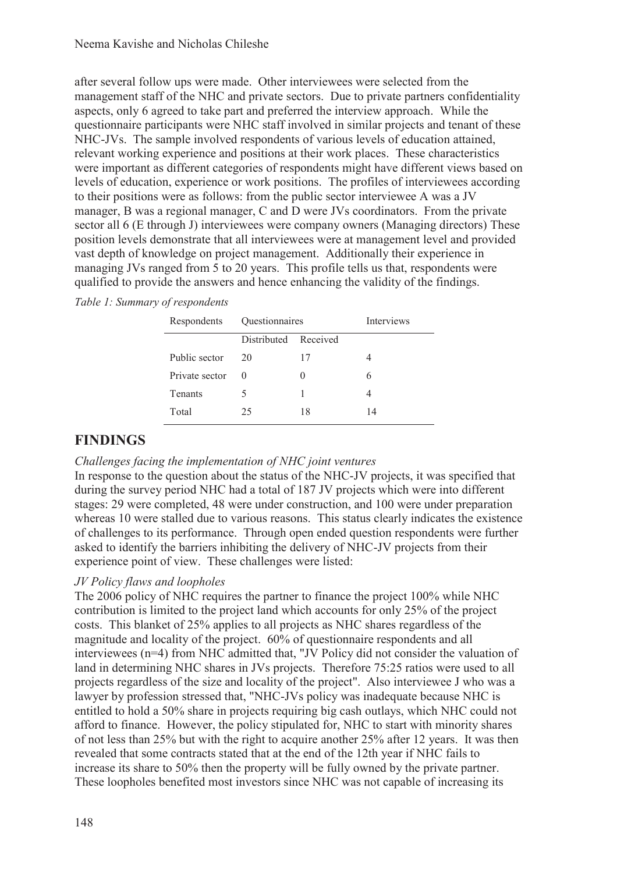after several follow ups were made. Other interviewees were selected from the management staff of the NHC and private sectors. Due to private partners confidentiality aspects, only 6 agreed to take part and preferred the interview approach. While the questionnaire participants were NHC staff involved in similar projects and tenant of these NHC-JVs. The sample involved respondents of various levels of education attained, relevant working experience and positions at their work places. These characteristics were important as different categories of respondents might have different views based on levels of education, experience or work positions. The profiles of interviewees according to their positions were as follows: from the public sector interviewee A was a JV manager, B was a regional manager, C and D were JVs coordinators. From the private sector all 6 (E through J) interviewees were company owners (Managing directors) These position levels demonstrate that all interviewees were at management level and provided vast depth of knowledge on project management. Additionally their experience in managing JVs ranged from 5 to 20 years. This profile tells us that, respondents were qualified to provide the answers and hence enhancing the validity of the findings.

|  |  |  |  | Table 1: Summary of respondents |
|--|--|--|--|---------------------------------|
|--|--|--|--|---------------------------------|

| Respondents    | Questionnaires       | <b>Interviews</b> |    |  |
|----------------|----------------------|-------------------|----|--|
|                | Distributed Received |                   |    |  |
| Public sector  | 20                   | 17                |    |  |
| Private sector | $\theta$             |                   | 6  |  |
| <b>Tenants</b> |                      |                   |    |  |
| Total          | 25                   | 18                | 14 |  |

## **FINDINGS**

#### *Challenges facing the implementation of NHC joint ventures*

In response to the question about the status of the NHC-JV projects, it was specified that during the survey period NHC had a total of 187 JV projects which were into different stages: 29 were completed, 48 were under construction, and 100 were under preparation whereas 10 were stalled due to various reasons. This status clearly indicates the existence of challenges to its performance. Through open ended question respondents were further asked to identify the barriers inhibiting the delivery of NHC-JV projects from their experience point of view. These challenges were listed:

## *JV Policy flaws and loopholes*

The 2006 policy of NHC requires the partner to finance the project 100% while NHC contribution is limited to the project land which accounts for only 25% of the project costs. This blanket of 25% applies to all projects as NHC shares regardless of the magnitude and locality of the project. 60% of questionnaire respondents and all interviewees (n=4) from NHC admitted that, "JV Policy did not consider the valuation of land in determining NHC shares in JVs projects. Therefore 75:25 ratios were used to all projects regardless of the size and locality of the project". Also interviewee J who was a lawyer by profession stressed that, "NHC-JVs policy was inadequate because NHC is entitled to hold a 50% share in projects requiring big cash outlays, which NHC could not afford to finance. However, the policy stipulated for, NHC to start with minority shares of not less than 25% but with the right to acquire another 25% after 12 years. It was then revealed that some contracts stated that at the end of the 12th year if NHC fails to increase its share to 50% then the property will be fully owned by the private partner. These loopholes benefited most investors since NHC was not capable of increasing its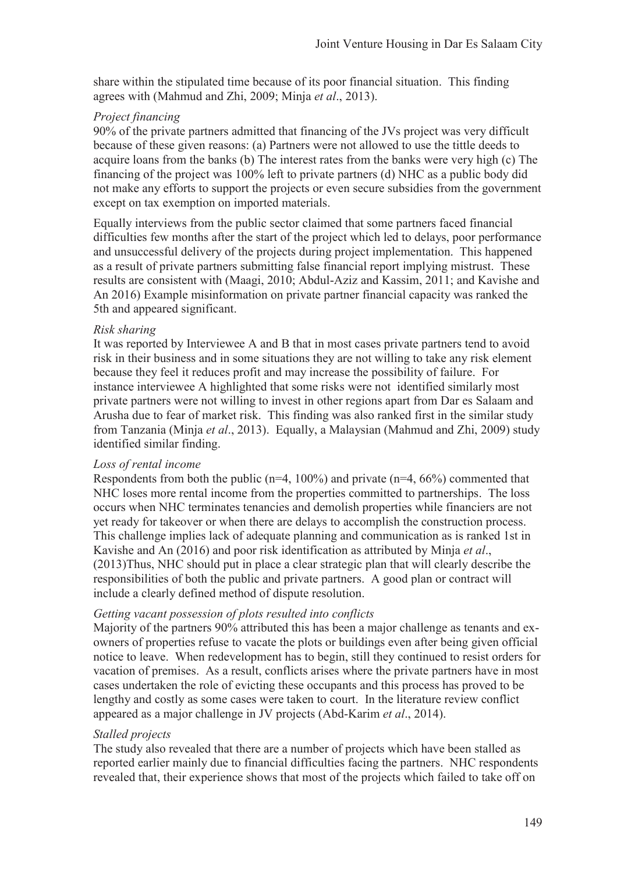share within the stipulated time because of its poor financial situation. This finding agrees with (Mahmud and Zhi, 2009; Minja *et al*., 2013).

#### *Project financing*

90% of the private partners admitted that financing of the JVs project was very difficult because of these given reasons: (a) Partners were not allowed to use the tittle deeds to acquire loans from the banks (b) The interest rates from the banks were very high (c) The financing of the project was 100% left to private partners (d) NHC as a public body did not make any efforts to support the projects or even secure subsidies from the government except on tax exemption on imported materials.

Equally interviews from the public sector claimed that some partners faced financial difficulties few months after the start of the project which led to delays, poor performance and unsuccessful delivery of the projects during project implementation. This happened as a result of private partners submitting false financial report implying mistrust. These results are consistent with (Maagi, 2010; Abdul-Aziz and Kassim, 2011; and Kavishe and An 2016) Example misinformation on private partner financial capacity was ranked the 5th and appeared significant.

#### *Risk sharing*

It was reported by Interviewee A and B that in most cases private partners tend to avoid risk in their business and in some situations they are not willing to take any risk element because they feel it reduces profit and may increase the possibility of failure. For instance interviewee A highlighted that some risks were not identified similarly most private partners were not willing to invest in other regions apart from Dar es Salaam and Arusha due to fear of market risk. This finding was also ranked first in the similar study from Tanzania (Minja *et al*., 2013). Equally, a Malaysian (Mahmud and Zhi, 2009) study identified similar finding.

#### *Loss of rental income*

Respondents from both the public ( $n=4$ , 100%) and private ( $n=4$ , 66%) commented that NHC loses more rental income from the properties committed to partnerships. The loss occurs when NHC terminates tenancies and demolish properties while financiers are not yet ready for takeover or when there are delays to accomplish the construction process. This challenge implies lack of adequate planning and communication as is ranked 1st in Kavishe and An (2016) and poor risk identification as attributed by Minja *et al*., (2013)Thus, NHC should put in place a clear strategic plan that will clearly describe the responsibilities of both the public and private partners. A good plan or contract will include a clearly defined method of dispute resolution.

#### *Getting vacant possession of plots resulted into conflicts*

Majority of the partners 90% attributed this has been a major challenge as tenants and exowners of properties refuse to vacate the plots or buildings even after being given official notice to leave. When redevelopment has to begin, still they continued to resist orders for vacation of premises. As a result, conflicts arises where the private partners have in most cases undertaken the role of evicting these occupants and this process has proved to be lengthy and costly as some cases were taken to court. In the literature review conflict appeared as a major challenge in JV projects (Abd-Karim *et al*., 2014).

## *Stalled projects*

The study also revealed that there are a number of projects which have been stalled as reported earlier mainly due to financial difficulties facing the partners. NHC respondents revealed that, their experience shows that most of the projects which failed to take off on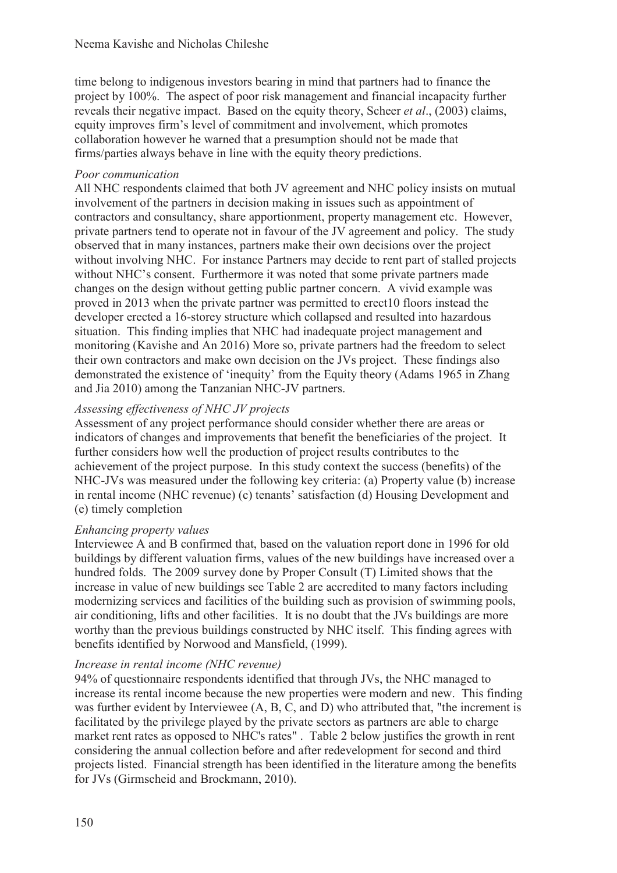time belong to indigenous investors bearing in mind that partners had to finance the project by 100%. The aspect of poor risk management and financial incapacity further reveals their negative impact. Based on the equity theory, Scheer *et al*., (2003) claims, equity improves firm's level of commitment and involvement, which promotes collaboration however he warned that a presumption should not be made that firms/parties always behave in line with the equity theory predictions.

### *Poor communication*

All NHC respondents claimed that both JV agreement and NHC policy insists on mutual involvement of the partners in decision making in issues such as appointment of contractors and consultancy, share apportionment, property management etc. However, private partners tend to operate not in favour of the JV agreement and policy. The study observed that in many instances, partners make their own decisions over the project without involving NHC. For instance Partners may decide to rent part of stalled projects without NHC's consent. Furthermore it was noted that some private partners made changes on the design without getting public partner concern. A vivid example was proved in 2013 when the private partner was permitted to erect10 floors instead the developer erected a 16-storey structure which collapsed and resulted into hazardous situation. This finding implies that NHC had inadequate project management and monitoring (Kavishe and An 2016) More so, private partners had the freedom to select their own contractors and make own decision on the JVs project. These findings also demonstrated the existence of 'inequity' from the Equity theory (Adams 1965 in Zhang and Jia 2010) among the Tanzanian NHC-JV partners.

## *Assessing effectiveness of NHC JV projects*

Assessment of any project performance should consider whether there are areas or indicators of changes and improvements that benefit the beneficiaries of the project. It further considers how well the production of project results contributes to the achievement of the project purpose. In this study context the success (benefits) of the NHC-JVs was measured under the following key criteria: (a) Property value (b) increase in rental income (NHC revenue) (c) tenants' satisfaction (d) Housing Development and (e) timely completion

## *Enhancing property values*

Interviewee A and B confirmed that, based on the valuation report done in 1996 for old buildings by different valuation firms, values of the new buildings have increased over a hundred folds. The 2009 survey done by Proper Consult (T) Limited shows that the increase in value of new buildings see Table 2 are accredited to many factors including modernizing services and facilities of the building such as provision of swimming pools, air conditioning, lifts and other facilities. It is no doubt that the JVs buildings are more worthy than the previous buildings constructed by NHC itself. This finding agrees with benefits identified by Norwood and Mansfield, (1999).

## *Increase in rental income (NHC revenue)*

94% of questionnaire respondents identified that through JVs, the NHC managed to increase its rental income because the new properties were modern and new. This finding was further evident by Interviewee (A, B, C, and D) who attributed that, "the increment is facilitated by the privilege played by the private sectors as partners are able to charge market rent rates as opposed to NHC's rates" . Table 2 below justifies the growth in rent considering the annual collection before and after redevelopment for second and third projects listed. Financial strength has been identified in the literature among the benefits for JVs (Girmscheid and Brockmann, 2010).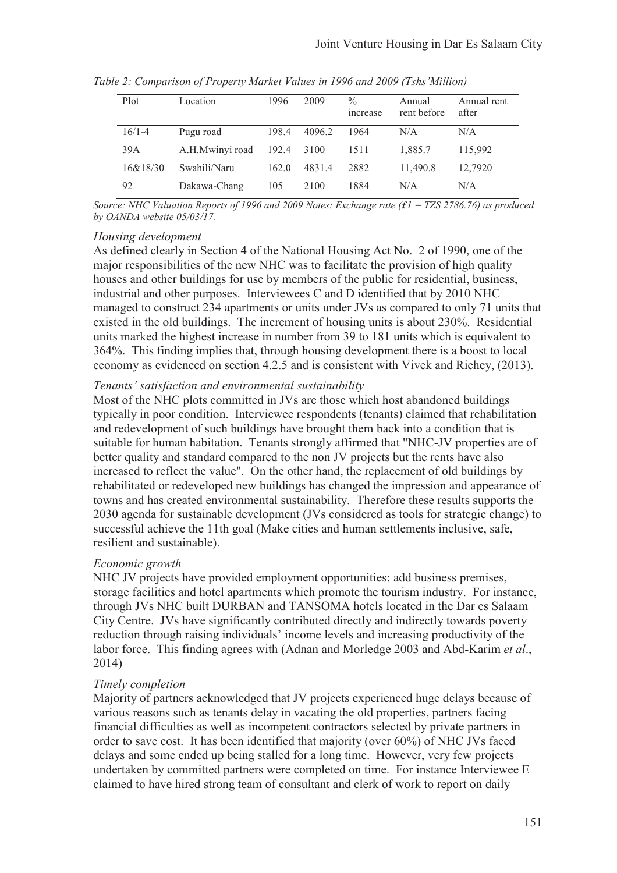| Plot       | Location        | 1996  | 2009   | $\frac{0}{0}$<br><i>ncrease</i> | Annual<br>rent before | Annual rent<br>after |
|------------|-----------------|-------|--------|---------------------------------|-----------------------|----------------------|
| $16/1 - 4$ | Pugu road       | 198.4 | 4096.2 | 1964                            | N/A                   | N/A                  |
| 39A        | A.H.Mwinyi road | 192.4 | 3100   | 1511                            | 1,885.7               | 115,992              |
| 16&18/30   | Swahili/Naru    | 162.0 | 4831.4 | 2882                            | 11.490.8              | 12,7920              |
| 92         | Dakawa-Chang    | 105   | 2100   | 1884                            | N/A                   | N/A                  |

*Table 2: Comparison of Property Market Values in 1996 and 2009 (Tshs'Million)*

*Source: NHC Valuation Reports of 1996 and 2009 Notes: Exchange rate (£1 = TZS 2786.76) as produced by OANDA website 05/03/17.* 

#### *Housing development*

As defined clearly in Section 4 of the National Housing Act No. 2 of 1990, one of the major responsibilities of the new NHC was to facilitate the provision of high quality houses and other buildings for use by members of the public for residential, business, industrial and other purposes. Interviewees C and D identified that by 2010 NHC managed to construct 234 apartments or units under JVs as compared to only 71 units that existed in the old buildings. The increment of housing units is about 230%. Residential units marked the highest increase in number from 39 to 181 units which is equivalent to 364%. This finding implies that, through housing development there is a boost to local economy as evidenced on section 4.2.5 and is consistent with Vivek and Richey, (2013).

#### *Tenants' satisfaction and environmental sustainability*

Most of the NHC plots committed in JVs are those which host abandoned buildings typically in poor condition. Interviewee respondents (tenants) claimed that rehabilitation and redevelopment of such buildings have brought them back into a condition that is suitable for human habitation. Tenants strongly affirmed that "NHC-JV properties are of better quality and standard compared to the non JV projects but the rents have also increased to reflect the value". On the other hand, the replacement of old buildings by rehabilitated or redeveloped new buildings has changed the impression and appearance of towns and has created environmental sustainability. Therefore these results supports the 2030 agenda for sustainable development (JVs considered as tools for strategic change) to successful achieve the 11th goal (Make cities and human settlements inclusive, safe, resilient and sustainable).

#### *Economic growth*

NHC JV projects have provided employment opportunities; add business premises, storage facilities and hotel apartments which promote the tourism industry. For instance, through JVs NHC built DURBAN and TANSOMA hotels located in the Dar es Salaam City Centre. JVs have significantly contributed directly and indirectly towards poverty reduction through raising individuals' income levels and increasing productivity of the labor force. This finding agrees with (Adnan and Morledge 2003 and Abd-Karim *et al*., 2014)

#### *Timely completion*

Majority of partners acknowledged that JV projects experienced huge delays because of various reasons such as tenants delay in vacating the old properties, partners facing financial difficulties as well as incompetent contractors selected by private partners in order to save cost. It has been identified that majority (over 60%) of NHC JVs faced delays and some ended up being stalled for a long time. However, very few projects undertaken by committed partners were completed on time. For instance Interviewee E claimed to have hired strong team of consultant and clerk of work to report on daily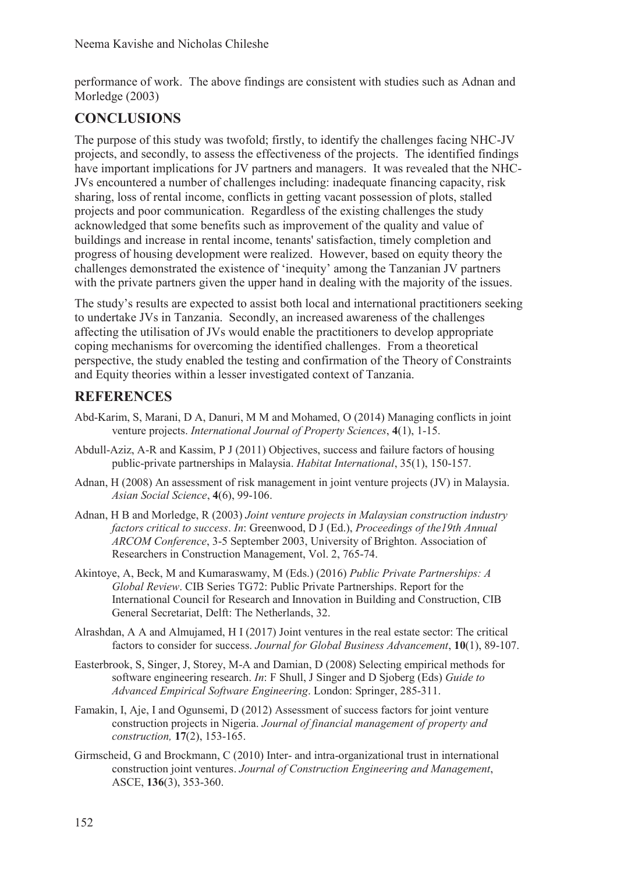performance of work. The above findings are consistent with studies such as Adnan and Morledge (2003)

# **CONCLUSIONS**

The purpose of this study was twofold; firstly, to identify the challenges facing NHC-JV projects, and secondly, to assess the effectiveness of the projects. The identified findings have important implications for JV partners and managers. It was revealed that the NHC-JVs encountered a number of challenges including: inadequate financing capacity, risk sharing, loss of rental income, conflicts in getting vacant possession of plots, stalled projects and poor communication. Regardless of the existing challenges the study acknowledged that some benefits such as improvement of the quality and value of buildings and increase in rental income, tenants' satisfaction, timely completion and progress of housing development were realized. However, based on equity theory the challenges demonstrated the existence of 'inequity' among the Tanzanian JV partners with the private partners given the upper hand in dealing with the majority of the issues.

The study's results are expected to assist both local and international practitioners seeking to undertake JVs in Tanzania. Secondly, an increased awareness of the challenges affecting the utilisation of JVs would enable the practitioners to develop appropriate coping mechanisms for overcoming the identified challenges. From a theoretical perspective, the study enabled the testing and confirmation of the Theory of Constraints and Equity theories within a lesser investigated context of Tanzania.

## **REFERENCES**

- Abd-Karim, S, Marani, D A, Danuri, M M and Mohamed, O (2014) Managing conflicts in joint venture projects. *International Journal of Property Sciences*, **4**(1), 1-15.
- Abdull-Aziz, A-R and Kassim, P J (2011) Objectives, success and failure factors of housing public-private partnerships in Malaysia. *Habitat International*, 35(1), 150-157.
- Adnan, H (2008) An assessment of risk management in joint venture projects (JV) in Malaysia. *Asian Social Science*, **4**(6), 99-106.
- Adnan, H B and Morledge, R (2003) *Joint venture projects in Malaysian construction industry factors critical to success*. *In*: Greenwood, D J (Ed.), *Proceedings of the19th Annual ARCOM Conference*, 3-5 September 2003, University of Brighton. Association of Researchers in Construction Management, Vol. 2, 765-74.
- Akintoye, A, Beck, M and Kumaraswamy, M (Eds.) (2016) *Public Private Partnerships: A Global Review*. CIB Series TG72: Public Private Partnerships. Report for the International Council for Research and Innovation in Building and Construction, CIB General Secretariat, Delft: The Netherlands, 32.
- Alrashdan, A A and Almujamed, H I (2017) Joint ventures in the real estate sector: The critical factors to consider for success. *Journal for Global Business Advancement*, **10**(1), 89-107.
- Easterbrook, S, Singer, J, Storey, M-A and Damian, D (2008) Selecting empirical methods for software engineering research. *In*: F Shull, J Singer and D Sjoberg (Eds) *Guide to Advanced Empirical Software Engineering*. London: Springer, 285-311.
- Famakin, I, Aje, I and Ogunsemi, D (2012) Assessment of success factors for joint venture construction projects in Nigeria. *Journal of financial management of property and construction,* **17**(2), 153-165.
- Girmscheid, G and Brockmann, C (2010) Inter- and intra-organizational trust in international construction joint ventures. *Journal of Construction Engineering and Management*, ASCE, **136**(3), 353-360.